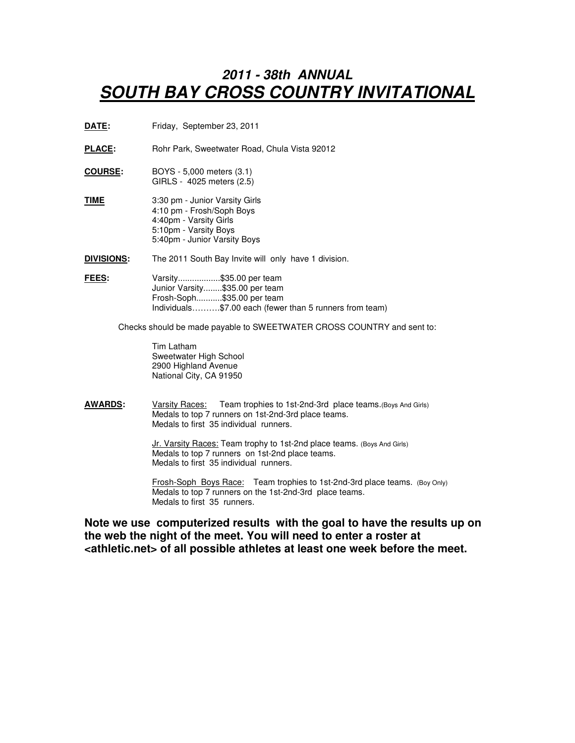## **2011 - 38th ANNUAL SOUTH BAY CROSS COUNTRY INVITATIONAL**

- **DATE:** Friday, September 23, 2011
- PLACE: Rohr Park, Sweetwater Road, Chula Vista 92012
- **COURSE:** BOYS 5,000 meters (3.1) GIRLS - 4025 meters (2.5)
- **TIME** 3:30 pm Junior Varsity Girls 4:10 pm - Frosh/Soph Boys 4:40pm - Varsity Girls 5:10pm - Varsity Boys 5:40pm - Junior Varsity Boys

**DIVISIONS:** The 2011 South Bay Invite will only have 1 division.

**FEES:** Varsity.................\$35.00 per team Junior Varsity........\$35.00 per team Frosh-Soph...........\$35.00 per team Individuals……….\$7.00 each (fewer than 5 runners from team)

Checks should be made payable to SWEETWATER CROSS COUNTRY and sent to:

 Tim Latham Sweetwater High School 2900 Highland Avenue National City, CA 91950

**AWARDS:** Varsity Races: Team trophies to 1st-2nd-3rd place teams.(Boys And Girls) Medals to top 7 runners on 1st-2nd-3rd place teams. Medals to first 35 individual runners.

> Jr. Varsity Races: Team trophy to 1st-2nd place teams. (Boys And Girls) Medals to top 7 runners on 1st-2nd place teams. Medals to first 35 individual runners.

 Frosh-Soph Boys Race: Team trophies to 1st-2nd-3rd place teams. (Boy Only) Medals to top 7 runners on the 1st-2nd-3rd place teams. Medals to first 35 runners.

**Note we use computerized results with the goal to have the results up on the web the night of the meet. You will need to enter a roster at <athletic.net> of all possible athletes at least one week before the meet.**